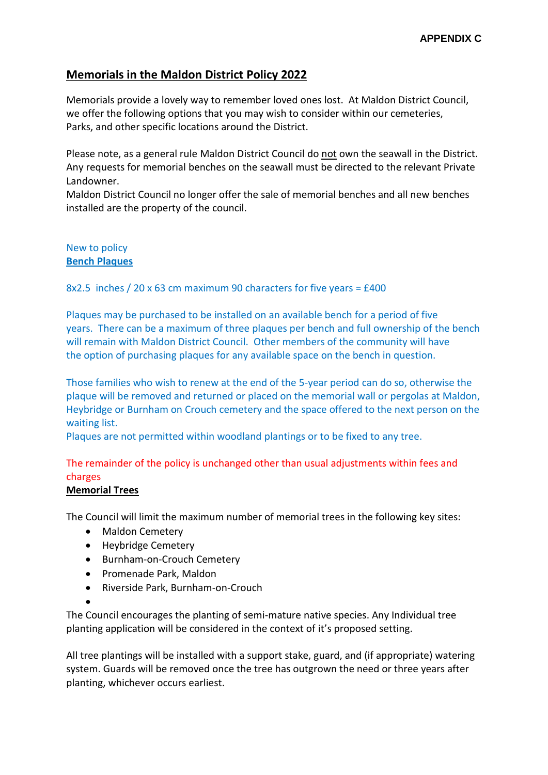# **Memorials in the Maldon District Policy 2022**

Memorials provide a lovely way to remember loved ones lost. At Maldon District Council, we offer the following options that you may wish to consider within our cemeteries, Parks, and other specific locations around the District.

Please note, as a general rule Maldon District Council do not own the seawall in the District. Any requests for memorial benches on the seawall must be directed to the relevant Private Landowner.

Maldon District Council no longer offer the sale of memorial benches and all new benches installed are the property of the council.

## New to policy **Bench Plaques**

### 8x2.5 inches / 20 x 63 cm maximum 90 characters for five years = £400

Plaques may be purchased to be installed on an available bench for a period of five years. There can be a maximum of three plaques per bench and full ownership of the bench will remain with Maldon District Council. Other members of the community will have the option of purchasing plaques for any available space on the bench in question.

Those families who wish to renew at the end of the 5-year period can do so, otherwise the plaque will be removed and returned or placed on the memorial wall or pergolas at Maldon, Heybridge or Burnham on Crouch cemetery and the space offered to the next person on the waiting list.

Plaques are not permitted within woodland plantings or to be fixed to any tree.

# The remainder of the policy is unchanged other than usual adjustments within fees and charges

#### **Memorial Trees**

The Council will limit the maximum number of memorial trees in the following key sites:

- Maldon Cemetery
- Heybridge Cemetery
- Burnham-on-Crouch Cemetery
- Promenade Park, Maldon
- Riverside Park, Burnham-on-Crouch
- $\bullet$

The Council encourages the planting of semi-mature native species. Any Individual tree planting application will be considered in the context of it's proposed setting.

All tree plantings will be installed with a support stake, guard, and (if appropriate) watering system. Guards will be removed once the tree has outgrown the need or three years after planting, whichever occurs earliest.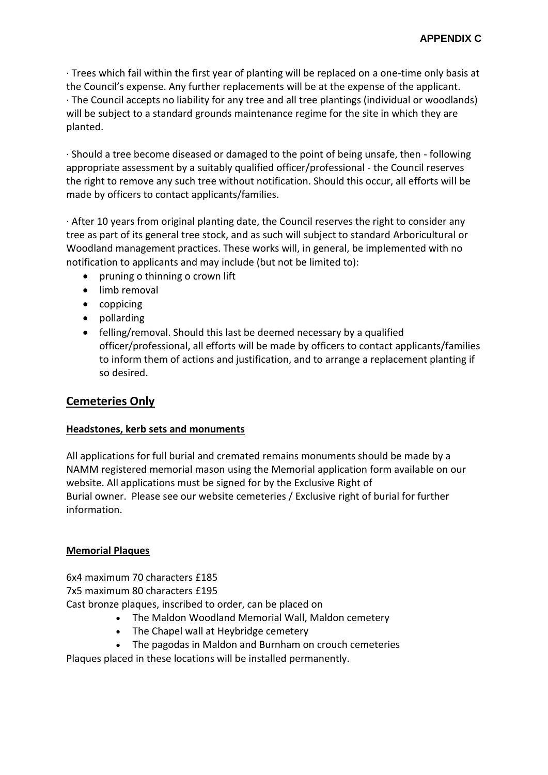· Trees which fail within the first year of planting will be replaced on a one-time only basis at the Council's expense. Any further replacements will be at the expense of the applicant. · The Council accepts no liability for any tree and all tree plantings (individual or woodlands) will be subject to a standard grounds maintenance regime for the site in which they are planted.

· Should a tree become diseased or damaged to the point of being unsafe, then - following appropriate assessment by a suitably qualified officer/professional - the Council reserves the right to remove any such tree without notification. Should this occur, all efforts will be made by officers to contact applicants/families.

· After 10 years from original planting date, the Council reserves the right to consider any tree as part of its general tree stock, and as such will subject to standard Arboricultural or Woodland management practices. These works will, in general, be implemented with no notification to applicants and may include (but not be limited to):

- pruning o thinning o crown lift
- limb removal
- coppicing
- pollarding
- felling/removal. Should this last be deemed necessary by a qualified officer/professional, all efforts will be made by officers to contact applicants/families to inform them of actions and justification, and to arrange a replacement planting if so desired.

# **Cemeteries Only**

## **Headstones, kerb sets and monuments**

All applications for full burial and cremated remains monuments should be made by a NAMM registered memorial mason using the Memorial application form available on our website. All applications must be signed for by the Exclusive Right of Burial owner. Please see our website cemeteries / Exclusive right of burial for further information.

#### **Memorial Plaques**

6x4 maximum 70 characters £185 7x5 maximum 80 characters £195 Cast bronze plaques, inscribed to order, can be placed on

- The Maldon Woodland Memorial Wall, Maldon cemetery
- The Chapel wall at Heybridge cemetery
- The pagodas in Maldon and Burnham on crouch cemeteries

Plaques placed in these locations will be installed permanently.